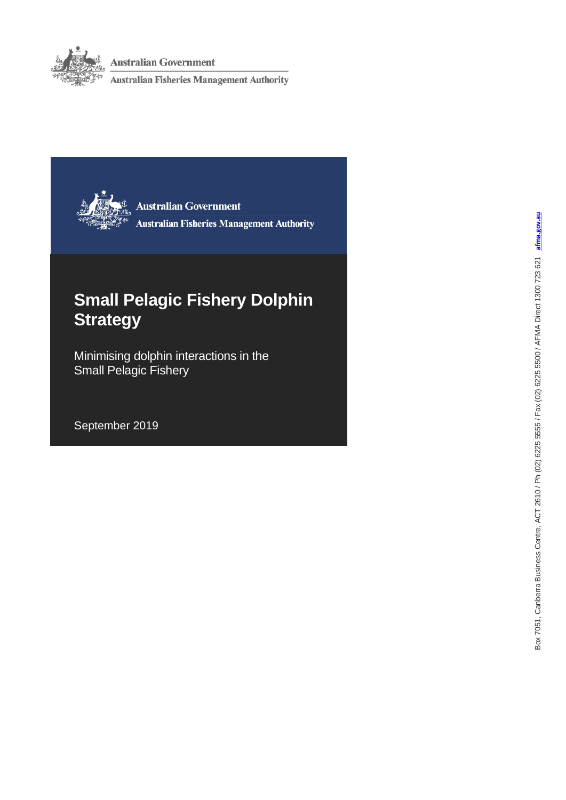

**Australian Government** 

**Australian Fisheries Management Authority** 



**Australian Government Australian Fisheries Management Authority** 

# **Small Pelagic Fishery Dolphin Strategy**

Minimising dolphin interactions in the Small Pelagic Fishery

September 2019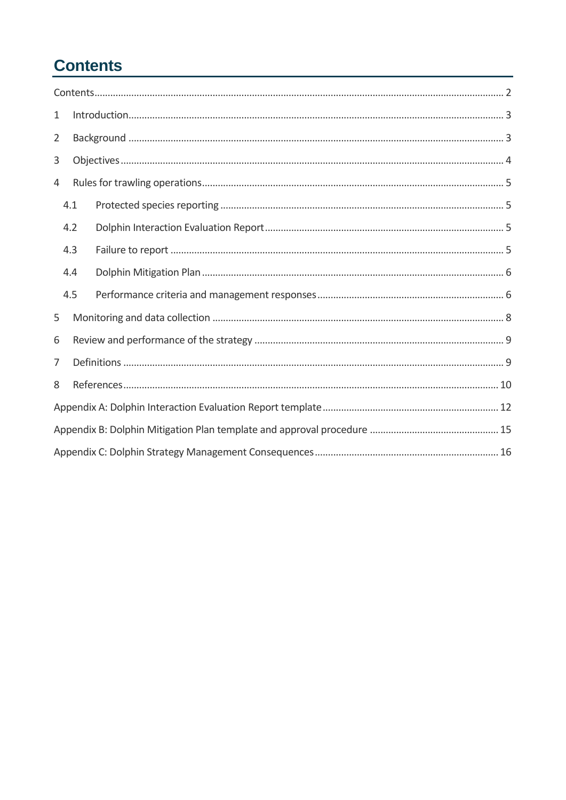# <span id="page-1-0"></span>**Contents**

| $\mathbf{1}$   |     | $\label{eq:1} Introduction. 3$ |  |  |
|----------------|-----|--------------------------------|--|--|
| $\overline{2}$ |     |                                |  |  |
| 3              |     |                                |  |  |
| 4              |     |                                |  |  |
|                | 4.1 |                                |  |  |
|                | 4.2 |                                |  |  |
|                | 4.3 |                                |  |  |
|                | 4.4 |                                |  |  |
|                | 4.5 |                                |  |  |
| 5              |     |                                |  |  |
| 6              |     |                                |  |  |
| 7              |     |                                |  |  |
| 8              |     |                                |  |  |
|                |     |                                |  |  |
|                |     |                                |  |  |
|                |     |                                |  |  |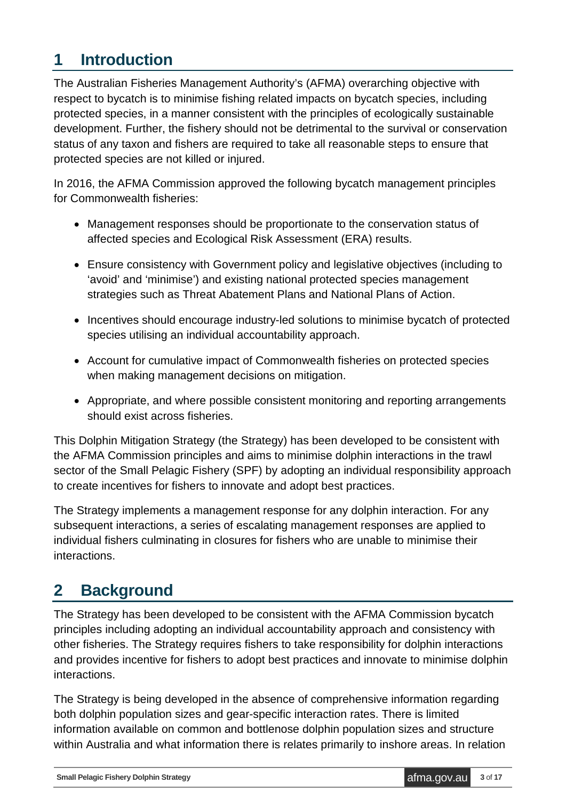## <span id="page-2-0"></span>**1 Introduction**

The Australian Fisheries Management Authority's (AFMA) overarching objective with respect to bycatch is to minimise fishing related impacts on bycatch species, including protected species, in a manner consistent with the principles of ecologically sustainable development. Further, the fishery should not be detrimental to the survival or conservation status of any taxon and fishers are required to take all reasonable steps to ensure that protected species are not killed or injured.

In 2016, the AFMA Commission approved the following bycatch management principles for Commonwealth fisheries:

- Management responses should be proportionate to the conservation status of affected species and Ecological Risk Assessment (ERA) results.
- Ensure consistency with Government policy and legislative objectives (including to 'avoid' and 'minimise') and existing national protected species management strategies such as Threat Abatement Plans and National Plans of Action.
- Incentives should encourage industry-led solutions to minimise bycatch of protected species utilising an individual accountability approach.
- Account for cumulative impact of Commonwealth fisheries on protected species when making management decisions on mitigation.
- Appropriate, and where possible consistent monitoring and reporting arrangements should exist across fisheries.

This Dolphin Mitigation Strategy (the Strategy) has been developed to be consistent with the AFMA Commission principles and aims to minimise dolphin interactions in the trawl sector of the Small Pelagic Fishery (SPF) by adopting an individual responsibility approach to create incentives for fishers to innovate and adopt best practices.

The Strategy implements a management response for any dolphin interaction. For any subsequent interactions, a series of escalating management responses are applied to individual fishers culminating in closures for fishers who are unable to minimise their interactions.

# <span id="page-2-1"></span>**2 Background**

The Strategy has been developed to be consistent with the AFMA Commission bycatch principles including adopting an individual accountability approach and consistency with other fisheries. The Strategy requires fishers to take responsibility for dolphin interactions and provides incentive for fishers to adopt best practices and innovate to minimise dolphin interactions.

The Strategy is being developed in the absence of comprehensive information regarding both dolphin population sizes and gear-specific interaction rates. There is limited information available on common and bottlenose dolphin population sizes and structure within Australia and what information there is relates primarily to inshore areas. In relation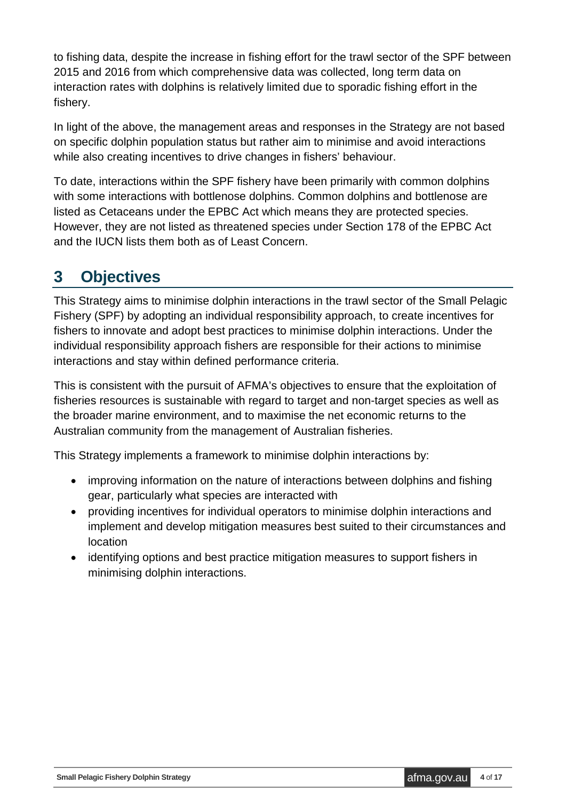to fishing data, despite the increase in fishing effort for the trawl sector of the SPF between 2015 and 2016 from which comprehensive data was collected, long term data on interaction rates with dolphins is relatively limited due to sporadic fishing effort in the fishery.

In light of the above, the management areas and responses in the Strategy are not based on specific dolphin population status but rather aim to minimise and avoid interactions while also creating incentives to drive changes in fishers' behaviour.

To date, interactions within the SPF fishery have been primarily with common dolphins with some interactions with bottlenose dolphins. Common dolphins and bottlenose are listed as Cetaceans under the EPBC Act which means they are protected species. However, they are not listed as threatened species under Section 178 of the EPBC Act and the IUCN lists them both as of Least Concern.

## <span id="page-3-0"></span>**3 Objectives**

This Strategy aims to minimise dolphin interactions in the trawl sector of the Small Pelagic Fishery (SPF) by adopting an individual responsibility approach, to create incentives for fishers to innovate and adopt best practices to minimise dolphin interactions. Under the individual responsibility approach fishers are responsible for their actions to minimise interactions and stay within defined performance criteria.

This is consistent with the pursuit of AFMA's objectives to ensure that the exploitation of fisheries resources is sustainable with regard to target and non-target species as well as the broader marine environment, and to maximise the net economic returns to the Australian community from the management of Australian fisheries.

This Strategy implements a framework to minimise dolphin interactions by:

- improving information on the nature of interactions between dolphins and fishing gear, particularly what species are interacted with
- providing incentives for individual operators to minimise dolphin interactions and implement and develop mitigation measures best suited to their circumstances and location
- identifying options and best practice mitigation measures to support fishers in minimising dolphin interactions.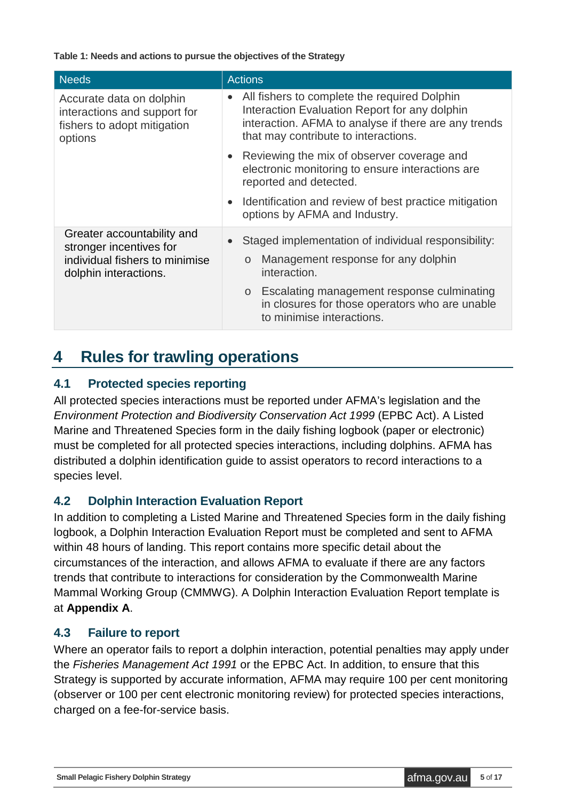**Table 1: Needs and actions to pursue the objectives of the Strategy**

| <b>Needs</b>                                                                                                     | <b>Actions</b>                                                                                                                                                                                                                                                |
|------------------------------------------------------------------------------------------------------------------|---------------------------------------------------------------------------------------------------------------------------------------------------------------------------------------------------------------------------------------------------------------|
| Accurate data on dolphin<br>interactions and support for<br>fishers to adopt mitigation<br>options               | All fishers to complete the required Dolphin<br>Interaction Evaluation Report for any dolphin<br>interaction. AFMA to analyse if there are any trends<br>that may contribute to interactions.                                                                 |
|                                                                                                                  | Reviewing the mix of observer coverage and<br>electronic monitoring to ensure interactions are<br>reported and detected.                                                                                                                                      |
|                                                                                                                  | Identification and review of best practice mitigation<br>options by AFMA and Industry.                                                                                                                                                                        |
| Greater accountability and<br>stronger incentives for<br>individual fishers to minimise<br>dolphin interactions. | Staged implementation of individual responsibility:<br>Management response for any dolphin<br>$\circ$<br>interaction.<br>Escalating management response culminating<br>$\circ$<br>in closures for those operators who are unable<br>to minimise interactions. |

### <span id="page-4-0"></span>**4 Rules for trawling operations**

#### <span id="page-4-1"></span>**4.1 Protected species reporting**

All protected species interactions must be reported under AFMA's legislation and the *Environment Protection and Biodiversity Conservation Act 1999* (EPBC Act). A Listed Marine and Threatened Species form in the daily fishing logbook (paper or electronic) must be completed for all protected species interactions, including dolphins. AFMA has distributed a dolphin identification guide to assist operators to record interactions to a species level.

#### <span id="page-4-2"></span>**4.2 Dolphin Interaction Evaluation Report**

In addition to completing a Listed Marine and Threatened Species form in the daily fishing logbook, a Dolphin Interaction Evaluation Report must be completed and sent to AFMA within 48 hours of landing. This report contains more specific detail about the circumstances of the interaction, and allows AFMA to evaluate if there are any factors trends that contribute to interactions for consideration by the Commonwealth Marine Mammal Working Group (CMMWG). A Dolphin Interaction Evaluation Report template is at **Appendix A**.

#### <span id="page-4-3"></span>**4.3 Failure to report**

Where an operator fails to report a dolphin interaction, potential penalties may apply under the *Fisheries Management Act 1991* or the EPBC Act. In addition, to ensure that this Strategy is supported by accurate information, AFMA may require 100 per cent monitoring (observer or 100 per cent electronic monitoring review) for protected species interactions, charged on a fee-for-service basis.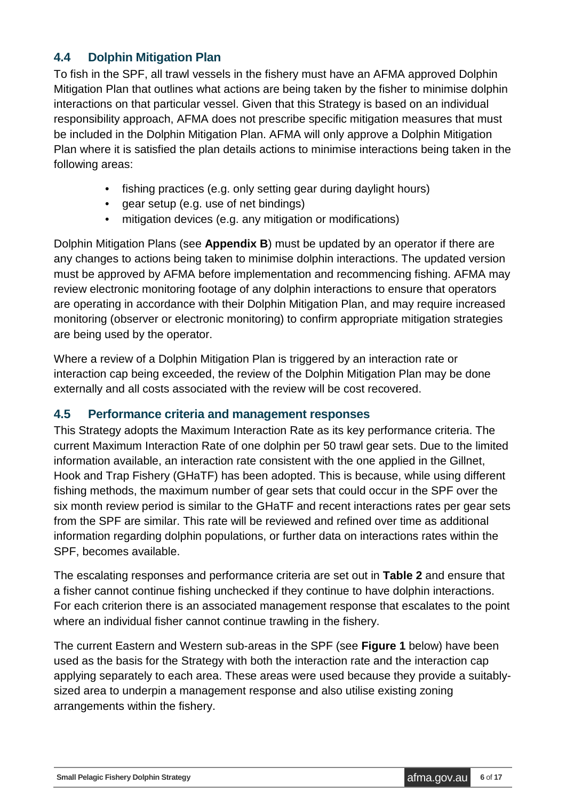#### <span id="page-5-0"></span>**4.4 Dolphin Mitigation Plan**

To fish in the SPF, all trawl vessels in the fishery must have an AFMA approved Dolphin Mitigation Plan that outlines what actions are being taken by the fisher to minimise dolphin interactions on that particular vessel. Given that this Strategy is based on an individual responsibility approach, AFMA does not prescribe specific mitigation measures that must be included in the Dolphin Mitigation Plan. AFMA will only approve a Dolphin Mitigation Plan where it is satisfied the plan details actions to minimise interactions being taken in the following areas:

- fishing practices (e.g. only setting gear during daylight hours)
- gear setup (e.g. use of net bindings)
- mitigation devices (e.g. any mitigation or modifications)

Dolphin Mitigation Plans (see **Appendix B**) must be updated by an operator if there are any changes to actions being taken to minimise dolphin interactions. The updated version must be approved by AFMA before implementation and recommencing fishing. AFMA may review electronic monitoring footage of any dolphin interactions to ensure that operators are operating in accordance with their Dolphin Mitigation Plan, and may require increased monitoring (observer or electronic monitoring) to confirm appropriate mitigation strategies are being used by the operator.

Where a review of a Dolphin Mitigation Plan is triggered by an interaction rate or interaction cap being exceeded, the review of the Dolphin Mitigation Plan may be done externally and all costs associated with the review will be cost recovered.

#### <span id="page-5-1"></span>**4.5 Performance criteria and management responses**

This Strategy adopts the Maximum Interaction Rate as its key performance criteria. The current Maximum Interaction Rate of one dolphin per 50 trawl gear sets. Due to the limited information available, an interaction rate consistent with the one applied in the Gillnet, Hook and Trap Fishery (GHaTF) has been adopted. This is because, while using different fishing methods, the maximum number of gear sets that could occur in the SPF over the six month review period is similar to the GHaTF and recent interactions rates per gear sets from the SPF are similar. This rate will be reviewed and refined over time as additional information regarding dolphin populations, or further data on interactions rates within the SPF, becomes available.

The escalating responses and performance criteria are set out in **Table 2** and ensure that a fisher cannot continue fishing unchecked if they continue to have dolphin interactions. For each criterion there is an associated management response that escalates to the point where an individual fisher cannot continue trawling in the fishery.

The current Eastern and Western sub-areas in the SPF (see **Figure 1** below) have been used as the basis for the Strategy with both the interaction rate and the interaction cap applying separately to each area. These areas were used because they provide a suitablysized area to underpin a management response and also utilise existing zoning arrangements within the fishery.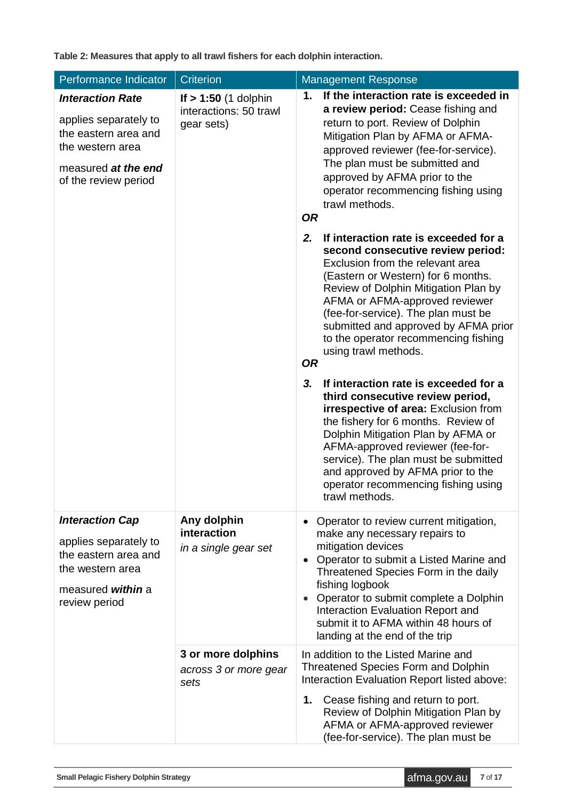**Table 2: Measures that apply to all trawl fishers for each dolphin interaction.**

| Performance Indicator                                                                                                                       | <b>Criterion</b>                                               | <b>Management Response</b>                                                                                                                                                                                                                                                                                                                                                                                                                                                                                                                                                                                                                                                                                                                                                         |  |  |
|---------------------------------------------------------------------------------------------------------------------------------------------|----------------------------------------------------------------|------------------------------------------------------------------------------------------------------------------------------------------------------------------------------------------------------------------------------------------------------------------------------------------------------------------------------------------------------------------------------------------------------------------------------------------------------------------------------------------------------------------------------------------------------------------------------------------------------------------------------------------------------------------------------------------------------------------------------------------------------------------------------------|--|--|
| <b>Interaction Rate</b><br>applies separately to<br>the eastern area and<br>the western area<br>measured at the end<br>of the review period | If $> 1:50$ (1 dolphin<br>interactions: 50 trawl<br>gear sets) | If the interaction rate is exceeded in<br>1.<br>a review period: Cease fishing and<br>return to port. Review of Dolphin<br>Mitigation Plan by AFMA or AFMA-<br>approved reviewer (fee-for-service).<br>The plan must be submitted and<br>approved by AFMA prior to the<br>operator recommencing fishing using<br>trawl methods.<br><b>OR</b>                                                                                                                                                                                                                                                                                                                                                                                                                                       |  |  |
|                                                                                                                                             |                                                                | If interaction rate is exceeded for a<br>2.<br>second consecutive review period:<br>Exclusion from the relevant area<br>(Eastern or Western) for 6 months.<br>Review of Dolphin Mitigation Plan by<br>AFMA or AFMA-approved reviewer<br>(fee-for-service). The plan must be<br>submitted and approved by AFMA prior<br>to the operator recommencing fishing<br>using trawl methods.<br><b>OR</b><br>If interaction rate is exceeded for a<br>3.<br>third consecutive review period,<br>irrespective of area: Exclusion from<br>the fishery for 6 months. Review of<br>Dolphin Mitigation Plan by AFMA or<br>AFMA-approved reviewer (fee-for-<br>service). The plan must be submitted<br>and approved by AFMA prior to the<br>operator recommencing fishing using<br>trawl methods. |  |  |
| <b>Interaction Cap</b><br>applies separately to<br>the eastern area and<br>the western area<br>measured within a<br>review period           | Any dolphin<br>interaction<br>in a single gear set             | Operator to review current mitigation,<br>$\bullet$<br>make any necessary repairs to<br>mitigation devices<br>Operator to submit a Listed Marine and<br>$\bullet$<br>Threatened Species Form in the daily<br>fishing logbook<br>Operator to submit complete a Dolphin<br>$\bullet$<br>Interaction Evaluation Report and<br>submit it to AFMA within 48 hours of<br>landing at the end of the trip                                                                                                                                                                                                                                                                                                                                                                                  |  |  |
|                                                                                                                                             | 3 or more dolphins<br>across 3 or more gear<br>sets            | In addition to the Listed Marine and<br><b>Threatened Species Form and Dolphin</b><br>Interaction Evaluation Report listed above:<br>Cease fishing and return to port.<br>1.<br>Review of Dolphin Mitigation Plan by<br>AFMA or AFMA-approved reviewer<br>(fee-for-service). The plan must be                                                                                                                                                                                                                                                                                                                                                                                                                                                                                      |  |  |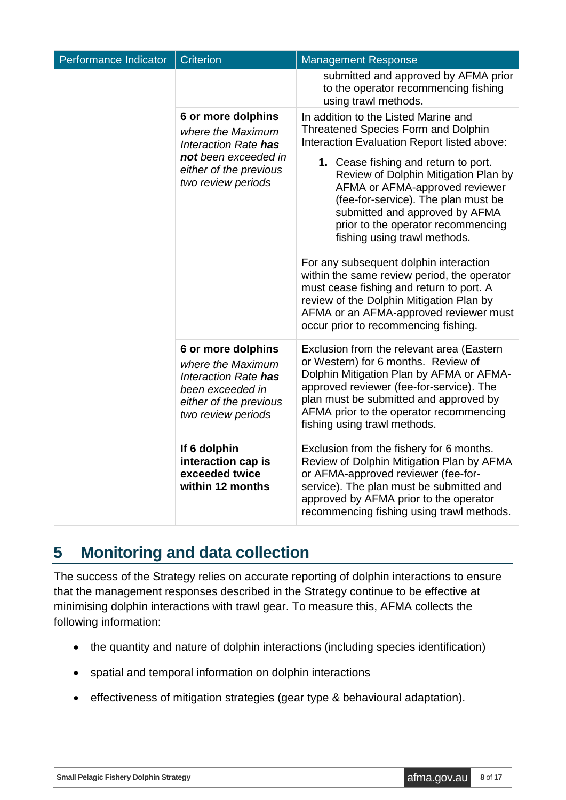| Performance Indicator | <b>Criterion</b>                                                                                                                        | <b>Management Response</b>                                                                                                                                                                                                                                                                                                                                                                                                                                                                                                                                                                                                                                            |
|-----------------------|-----------------------------------------------------------------------------------------------------------------------------------------|-----------------------------------------------------------------------------------------------------------------------------------------------------------------------------------------------------------------------------------------------------------------------------------------------------------------------------------------------------------------------------------------------------------------------------------------------------------------------------------------------------------------------------------------------------------------------------------------------------------------------------------------------------------------------|
|                       |                                                                                                                                         | submitted and approved by AFMA prior<br>to the operator recommencing fishing<br>using trawl methods.                                                                                                                                                                                                                                                                                                                                                                                                                                                                                                                                                                  |
|                       | 6 or more dolphins<br>where the Maximum<br>Interaction Rate has<br>not been exceeded in<br>either of the previous<br>two review periods | In addition to the Listed Marine and<br><b>Threatened Species Form and Dolphin</b><br>Interaction Evaluation Report listed above:<br>1. Cease fishing and return to port.<br>Review of Dolphin Mitigation Plan by<br>AFMA or AFMA-approved reviewer<br>(fee-for-service). The plan must be<br>submitted and approved by AFMA<br>prior to the operator recommencing<br>fishing using trawl methods.<br>For any subsequent dolphin interaction<br>within the same review period, the operator<br>must cease fishing and return to port. A<br>review of the Dolphin Mitigation Plan by<br>AFMA or an AFMA-approved reviewer must<br>occur prior to recommencing fishing. |
|                       | 6 or more dolphins<br>where the Maximum<br>Interaction Rate has<br>been exceeded in<br>either of the previous<br>two review periods     | Exclusion from the relevant area (Eastern<br>or Western) for 6 months. Review of<br>Dolphin Mitigation Plan by AFMA or AFMA-<br>approved reviewer (fee-for-service). The<br>plan must be submitted and approved by<br>AFMA prior to the operator recommencing<br>fishing using trawl methods.                                                                                                                                                                                                                                                                                                                                                                         |
|                       | If 6 dolphin<br>interaction cap is<br>exceeded twice<br>within 12 months                                                                | Exclusion from the fishery for 6 months.<br>Review of Dolphin Mitigation Plan by AFMA<br>or AFMA-approved reviewer (fee-for-<br>service). The plan must be submitted and<br>approved by AFMA prior to the operator<br>recommencing fishing using trawl methods.                                                                                                                                                                                                                                                                                                                                                                                                       |

## <span id="page-7-0"></span>**5 Monitoring and data collection**

The success of the Strategy relies on accurate reporting of dolphin interactions to ensure that the management responses described in the Strategy continue to be effective at minimising dolphin interactions with trawl gear. To measure this, AFMA collects the following information:

- the quantity and nature of dolphin interactions (including species identification)
- spatial and temporal information on dolphin interactions
- effectiveness of mitigation strategies (gear type & behavioural adaptation).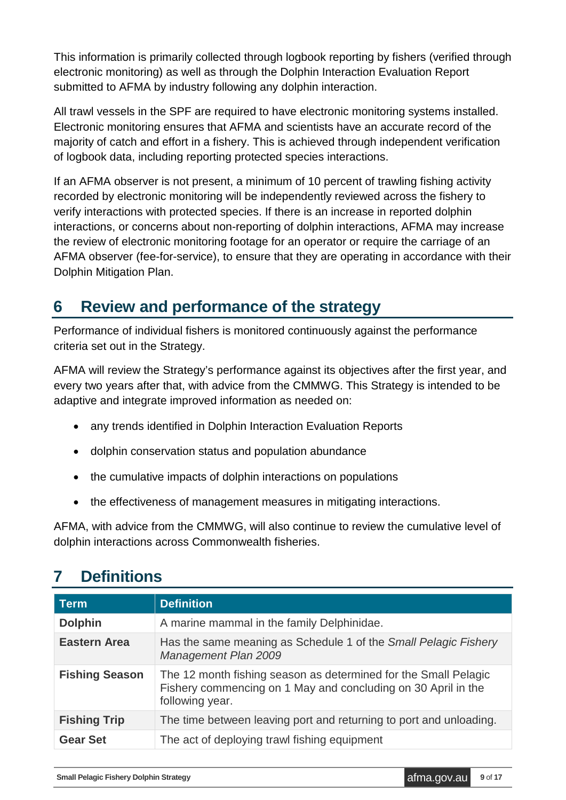This information is primarily collected through logbook reporting by fishers (verified through electronic monitoring) as well as through the Dolphin Interaction Evaluation Report submitted to AFMA by industry following any dolphin interaction.

All trawl vessels in the SPF are required to have electronic monitoring systems installed. Electronic monitoring ensures that AFMA and scientists have an accurate record of the majority of catch and effort in a fishery. This is achieved through independent verification of logbook data, including reporting protected species interactions.

If an AFMA observer is not present, a minimum of 10 percent of trawling fishing activity recorded by electronic monitoring will be independently reviewed across the fishery to verify interactions with protected species. If there is an increase in reported dolphin interactions, or concerns about non-reporting of dolphin interactions, AFMA may increase the review of electronic monitoring footage for an operator or require the carriage of an AFMA observer (fee-for-service), to ensure that they are operating in accordance with their Dolphin Mitigation Plan.

## <span id="page-8-0"></span>**6 Review and performance of the strategy**

Performance of individual fishers is monitored continuously against the performance criteria set out in the Strategy.

AFMA will review the Strategy's performance against its objectives after the first year, and every two years after that, with advice from the CMMWG. This Strategy is intended to be adaptive and integrate improved information as needed on:

- any trends identified in Dolphin Interaction Evaluation Reports
- dolphin conservation status and population abundance
- the cumulative impacts of dolphin interactions on populations
- the effectiveness of management measures in mitigating interactions.

AFMA, with advice from the CMMWG, will also continue to review the cumulative level of dolphin interactions across Commonwealth fisheries.

## <span id="page-8-1"></span>**7 Definitions**

| <b>Term</b>           | <b>Definition</b>                                                                                                                                   |
|-----------------------|-----------------------------------------------------------------------------------------------------------------------------------------------------|
| <b>Dolphin</b>        | A marine mammal in the family Delphinidae.                                                                                                          |
| <b>Eastern Area</b>   | Has the same meaning as Schedule 1 of the Small Pelagic Fishery<br>Management Plan 2009                                                             |
| <b>Fishing Season</b> | The 12 month fishing season as determined for the Small Pelagic<br>Fishery commencing on 1 May and concluding on 30 April in the<br>following year. |
| <b>Fishing Trip</b>   | The time between leaving port and returning to port and unloading.                                                                                  |
| <b>Gear Set</b>       | The act of deploying trawl fishing equipment                                                                                                        |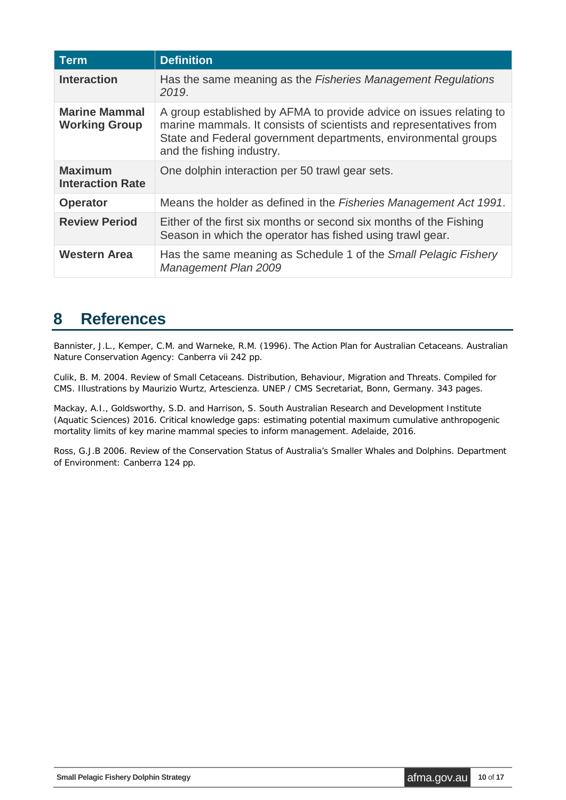| <b>Term</b>                                  | <b>Definition</b>                                                                                                                                                                                                                        |
|----------------------------------------------|------------------------------------------------------------------------------------------------------------------------------------------------------------------------------------------------------------------------------------------|
| <b>Interaction</b>                           | Has the same meaning as the Fisheries Management Regulations<br>2019.                                                                                                                                                                    |
| <b>Marine Mammal</b><br><b>Working Group</b> | A group established by AFMA to provide advice on issues relating to<br>marine mammals. It consists of scientists and representatives from<br>State and Federal government departments, environmental groups<br>and the fishing industry. |
| <b>Maximum</b><br><b>Interaction Rate</b>    | One dolphin interaction per 50 trawl gear sets.                                                                                                                                                                                          |
| <b>Operator</b>                              | Means the holder as defined in the Fisheries Management Act 1991.                                                                                                                                                                        |
| <b>Review Period</b>                         | Either of the first six months or second six months of the Fishing<br>Season in which the operator has fished using trawl gear.                                                                                                          |
| Western Area                                 | Has the same meaning as Schedule 1 of the Small Pelagic Fishery<br><b>Management Plan 2009</b>                                                                                                                                           |

#### <span id="page-9-0"></span>**8 References**

Bannister, J.L., Kemper, C.M. and Warneke, R.M. (1996*). The Action Plan for Australian Cetaceans. Australian Nature Conservation Agency*: Canberra vii 242 pp.

Culik, B. M. 2004. *Review of Small Cetaceans. Distribution, Behaviour, Migration and Threats. Compiled for CMS*. Illustrations by Maurizio Wurtz, Artescienza. UNEP / CMS Secretariat, Bonn, Germany. 343 pages.

Mackay, A.I., Goldsworthy, S.D. and Harrison, S. South Australian Research and Development Institute (Aquatic Sciences) 2016. *Critical knowledge gaps: estimating potential maximum cumulative anthropogenic mortality limits of key marine mammal species to inform management*. Adelaide, 2016.

Ross, G.J.B 2006. *Review of the Conservation Status of Australia's Smaller Whales and Dolphins. Department of Environment*: Canberra 124 pp.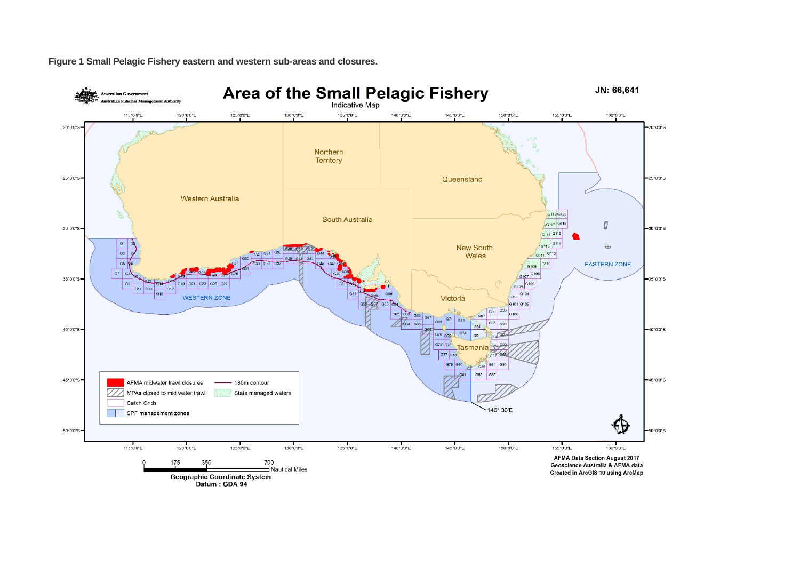**Figure 1 Small Pelagic Fishery eastern and western sub-areas and closures.**

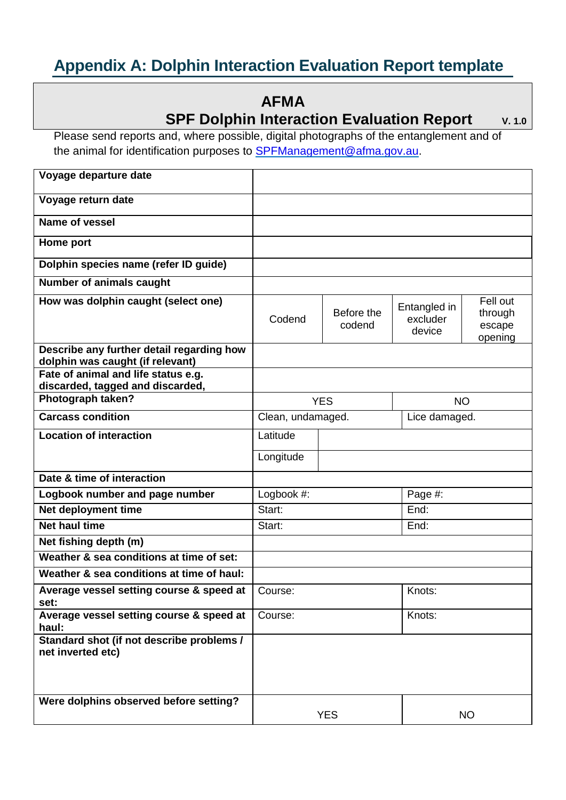## <span id="page-11-0"></span>**Appendix A: Dolphin Interaction Evaluation Report template**

### **AFMA**

#### **SPF Dolphin Interaction Evaluation Report** v. 1.0

Please send reports and, where possible, digital photographs of the entanglement and of the animal for identification purposes to **SPFManagement@afma.gov.au.** 

| Voyage departure date                                                   |                   |                      |                                    |                                          |
|-------------------------------------------------------------------------|-------------------|----------------------|------------------------------------|------------------------------------------|
| Voyage return date                                                      |                   |                      |                                    |                                          |
| Name of vessel                                                          |                   |                      |                                    |                                          |
| Home port                                                               |                   |                      |                                    |                                          |
| Dolphin species name (refer ID guide)                                   |                   |                      |                                    |                                          |
| <b>Number of animals caught</b>                                         |                   |                      |                                    |                                          |
| How was dolphin caught (select one)                                     | Codend            | Before the<br>codend | Entangled in<br>excluder<br>device | Fell out<br>through<br>escape<br>opening |
| Describe any further detail regarding how                               |                   |                      |                                    |                                          |
| dolphin was caught (if relevant)<br>Fate of animal and life status e.g. |                   |                      |                                    |                                          |
| discarded, tagged and discarded,                                        |                   |                      |                                    |                                          |
| Photograph taken?                                                       |                   | <b>YES</b>           | <b>NO</b>                          |                                          |
| <b>Carcass condition</b>                                                | Clean, undamaged. |                      | Lice damaged.                      |                                          |
| <b>Location of interaction</b>                                          | Latitude          |                      |                                    |                                          |
|                                                                         | Longitude         |                      |                                    |                                          |
| Date & time of interaction                                              |                   |                      |                                    |                                          |
| Logbook number and page number                                          | Logbook #:        |                      | Page #:                            |                                          |
| Net deployment time                                                     | Start:            |                      | End:                               |                                          |
| <b>Net haul time</b>                                                    | Start:            |                      | End:                               |                                          |
| Net fishing depth (m)                                                   |                   |                      |                                    |                                          |
| Weather & sea conditions at time of set:                                |                   |                      |                                    |                                          |
| Weather & sea conditions at time of haul:                               |                   |                      |                                    |                                          |
| Average vessel setting course & speed at<br>set:                        | Course:           |                      | Knots:                             |                                          |
| Average vessel setting course & speed at<br>haul:                       | Course:           |                      | Knots:                             |                                          |
| Standard shot (if not describe problems /<br>net inverted etc)          |                   |                      |                                    |                                          |
| Were dolphins observed before setting?                                  |                   | <b>YES</b>           |                                    | <b>NO</b>                                |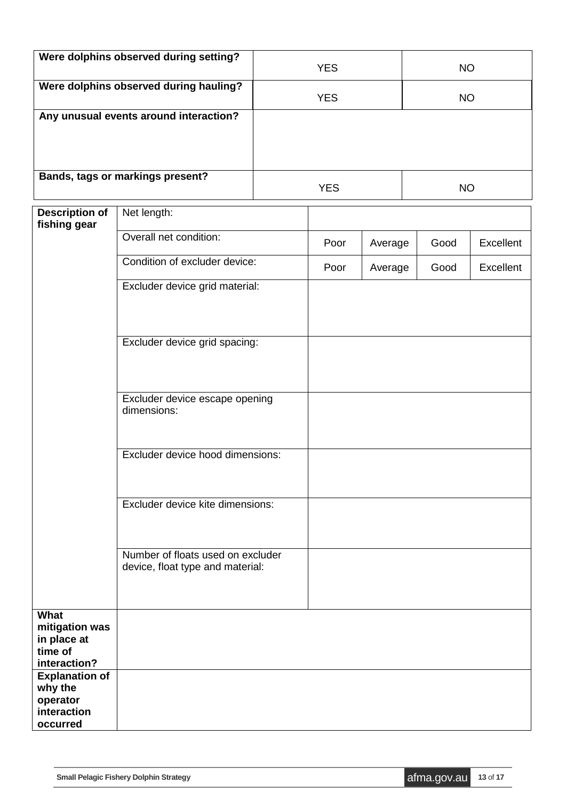| Were dolphins observed during setting? | <b>YES</b> | <b>NO</b> |
|----------------------------------------|------------|-----------|
| Were dolphins observed during hauling? | <b>YES</b> | <b>NO</b> |
| Any unusual events around interaction? |            |           |
| Bands, tags or markings present?       | <b>YES</b> | NΟ        |

| <b>Description of</b><br>fishing gear                                   | Net length:                                                           |      |         |      |                  |
|-------------------------------------------------------------------------|-----------------------------------------------------------------------|------|---------|------|------------------|
|                                                                         | Overall net condition:                                                | Poor | Average | Good | Excellent        |
|                                                                         | Condition of excluder device:                                         | Poor | Average | Good | <b>Excellent</b> |
|                                                                         | Excluder device grid material:                                        |      |         |      |                  |
|                                                                         | Excluder device grid spacing:                                         |      |         |      |                  |
|                                                                         | Excluder device escape opening<br>dimensions:                         |      |         |      |                  |
|                                                                         | Excluder device hood dimensions:                                      |      |         |      |                  |
|                                                                         | Excluder device kite dimensions:                                      |      |         |      |                  |
|                                                                         | Number of floats used on excluder<br>device, float type and material: |      |         |      |                  |
| What<br>mitigation was<br>in place at<br>time of<br>interaction?        |                                                                       |      |         |      |                  |
| <b>Explanation of</b><br>why the<br>operator<br>interaction<br>occurred |                                                                       |      |         |      |                  |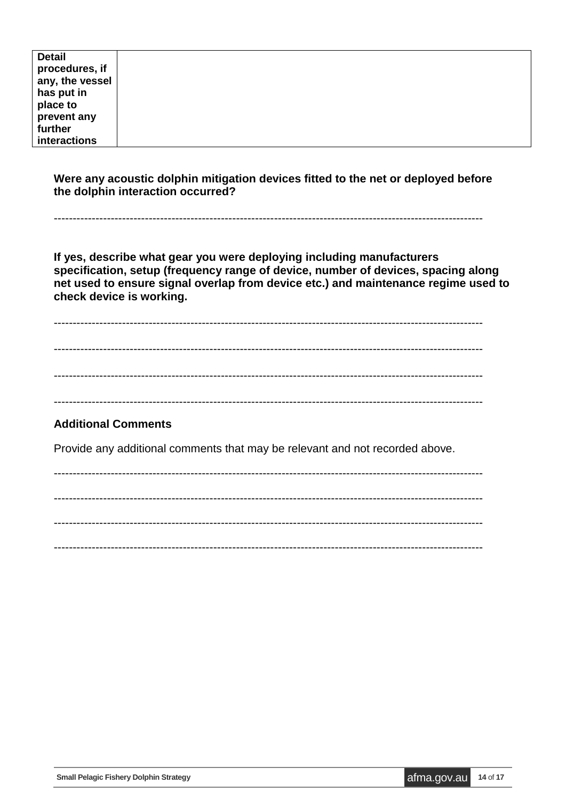| <b>Detail</b>   |  |
|-----------------|--|
|                 |  |
| procedures, if  |  |
| any, the vessel |  |
| has put in      |  |
| place to        |  |
| prevent any     |  |
| further         |  |
| interactions    |  |

**Were any acoustic dolphin mitigation devices fitted to the net or deployed before the dolphin interaction occurred?** 

-----------------------------------------------------------------------------------------------------------------

**If yes, describe what gear you were deploying including manufacturers**  specification, setup (frequency range of device, number of devices, spacing along **net used to ensure signal overlap from device etc.) and maintenance regime used to check device is working.** 

-----------------------------------------------------------------------------------------------------------------

-----------------------------------------------------------------------------------------------------------------

-----------------------------------------------------------------------------------------------------------------

-----------------------------------------------------------------------------------------------------------------

#### **Additional Comments**

Provide any additional comments that may be relevant and not recorded above.

----------------------------------------------------------------------------------------------------------------- ----------------------------------------------------------------------------------------------------------------- ----------------------------------------------------------------------------------------------------------------- -----------------------------------------------------------------------------------------------------------------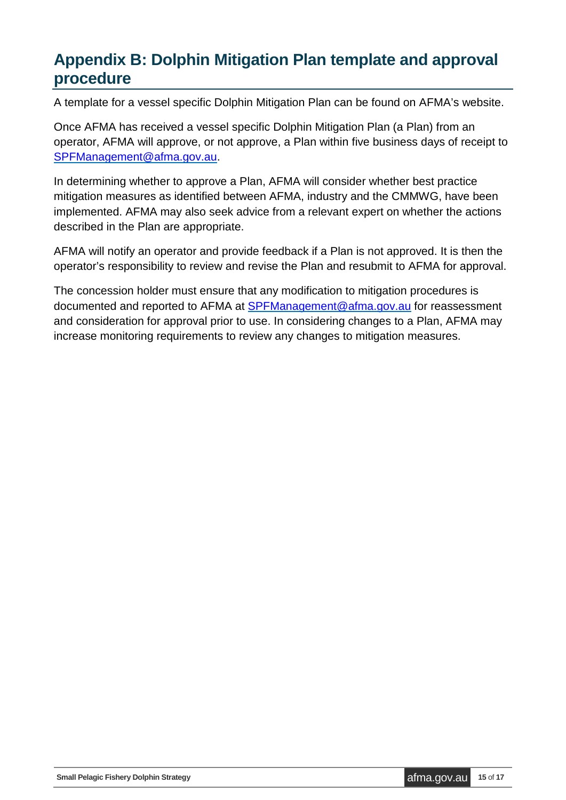## <span id="page-14-0"></span>**Appendix B: Dolphin Mitigation Plan template and approval procedure**

A template for a vessel specific Dolphin Mitigation Plan can be found on AFMA's website.

Once AFMA has received a vessel specific Dolphin Mitigation Plan (a Plan) from an operator, AFMA will approve, or not approve, a Plan within five business days of receipt to [SPFManagement@afma.gov.au.](mailto:SPFManagement@afma.gov.au)

In determining whether to approve a Plan, AFMA will consider whether best practice mitigation measures as identified between AFMA, industry and the CMMWG, have been implemented. AFMA may also seek advice from a relevant expert on whether the actions described in the Plan are appropriate.

AFMA will notify an operator and provide feedback if a Plan is not approved. It is then the operator's responsibility to review and revise the Plan and resubmit to AFMA for approval.

The concession holder must ensure that any modification to mitigation procedures is documented and reported to AFMA at [SPFManagement@afma.gov.au](mailto:SPFManagement@afma.gov.au) for reassessment and consideration for approval prior to use. In considering changes to a Plan, AFMA may increase monitoring requirements to review any changes to mitigation measures.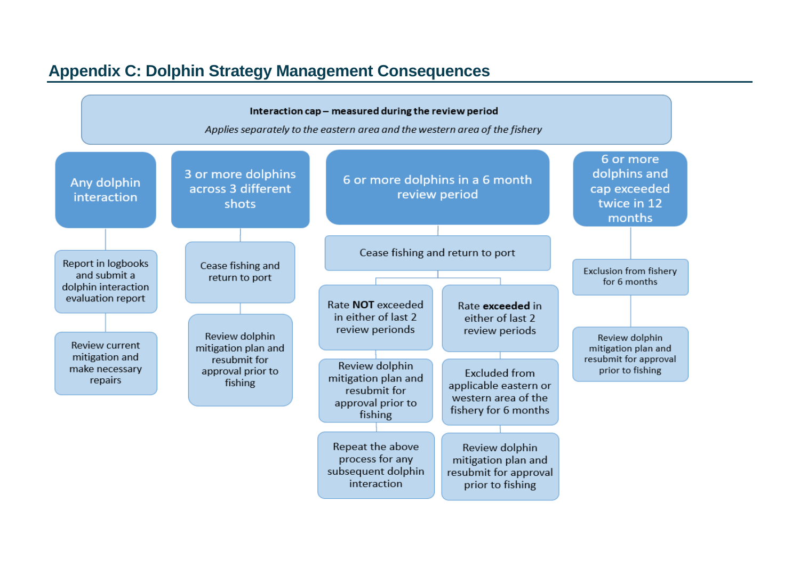### **Appendix C: Dolphin Strategy Management Consequences**

<span id="page-15-0"></span>